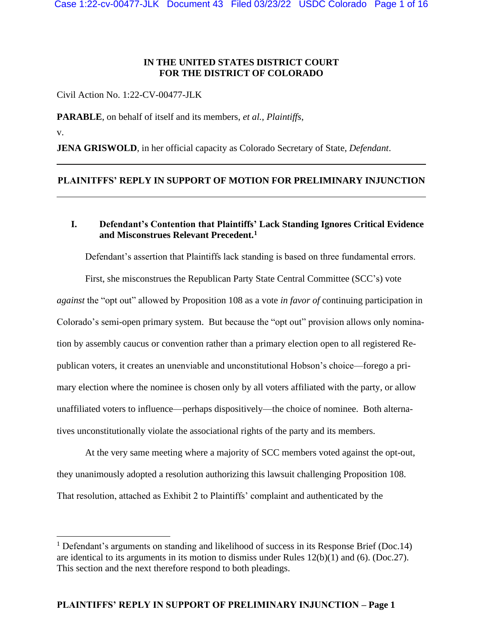### **IN THE UNITED STATES DISTRICT COURT FOR THE DISTRICT OF COLORADO**

Civil Action No. 1:22-CV-00477-JLK

**PARABLE**, on behalf of itself and its members, *et al.*, *Plaintiffs*, v.

**JENA GRISWOLD**, in her official capacity as Colorado Secretary of State, *Defendant*.

#### **PLAINITFFS' REPLY IN SUPPORT OF MOTION FOR PRELIMINARY INJUNCTION**

### **I. Defendant's Contention that Plaintiffs' Lack Standing Ignores Critical Evidence and Misconstrues Relevant Precedent.<sup>1</sup>**

Defendant's assertion that Plaintiffs lack standing is based on three fundamental errors.

First, she misconstrues the Republican Party State Central Committee (SCC's) vote *against* the "opt out" allowed by Proposition 108 as a vote *in favor of* continuing participation in Colorado's semi-open primary system. But because the "opt out" provision allows only nomination by assembly caucus or convention rather than a primary election open to all registered Republican voters, it creates an unenviable and unconstitutional Hobson's choice—forego a primary election where the nominee is chosen only by all voters affiliated with the party, or allow unaffiliated voters to influence—perhaps dispositively—the choice of nominee. Both alternatives unconstitutionally violate the associational rights of the party and its members.

At the very same meeting where a majority of SCC members voted against the opt-out, they unanimously adopted a resolution authorizing this lawsuit challenging Proposition 108. That resolution, attached as Exhibit 2 to Plaintiffs' complaint and authenticated by the

<sup>&</sup>lt;sup>1</sup> Defendant's arguments on standing and likelihood of success in its Response Brief (Doc.14) are identical to its arguments in its motion to dismiss under Rules 12(b)(1) and (6). (Doc.27). This section and the next therefore respond to both pleadings.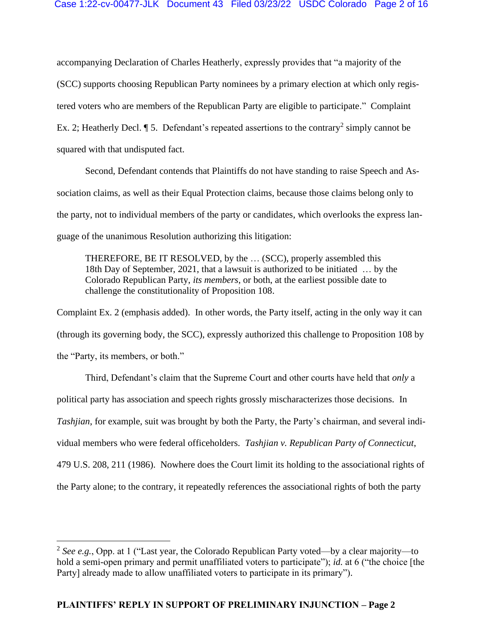accompanying Declaration of Charles Heatherly, expressly provides that "a majority of the (SCC) supports choosing Republican Party nominees by a primary election at which only registered voters who are members of the Republican Party are eligible to participate." Complaint Ex. 2; Heatherly Decl.  $\P$  5. Defendant's repeated assertions to the contrary<sup>2</sup> simply cannot be squared with that undisputed fact.

Second, Defendant contends that Plaintiffs do not have standing to raise Speech and Association claims, as well as their Equal Protection claims, because those claims belong only to the party, not to individual members of the party or candidates, which overlooks the express language of the unanimous Resolution authorizing this litigation:

THEREFORE, BE IT RESOLVED, by the … (SCC), properly assembled this 18th Day of September, 2021, that a lawsuit is authorized to be initiated … by the Colorado Republican Party, *its members*, or both, at the earliest possible date to challenge the constitutionality of Proposition 108.

Complaint Ex. 2 (emphasis added). In other words, the Party itself, acting in the only way it can (through its governing body, the SCC), expressly authorized this challenge to Proposition 108 by the "Party, its members, or both."

Third, Defendant's claim that the Supreme Court and other courts have held that *only* a political party has association and speech rights grossly mischaracterizes those decisions. In *Tashjian*, for example, suit was brought by both the Party, the Party's chairman, and several individual members who were federal officeholders. *Tashjian v. Republican Party of Connecticut*, 479 U.S. 208, 211 (1986). Nowhere does the Court limit its holding to the associational rights of the Party alone; to the contrary, it repeatedly references the associational rights of both the party

<sup>&</sup>lt;sup>2</sup> See e.g., Opp. at 1 ("Last year, the Colorado Republican Party voted—by a clear majority—to hold a semi-open primary and permit unaffiliated voters to participate"); *id.* at 6 ("the choice [the Party] already made to allow unaffiliated voters to participate in its primary").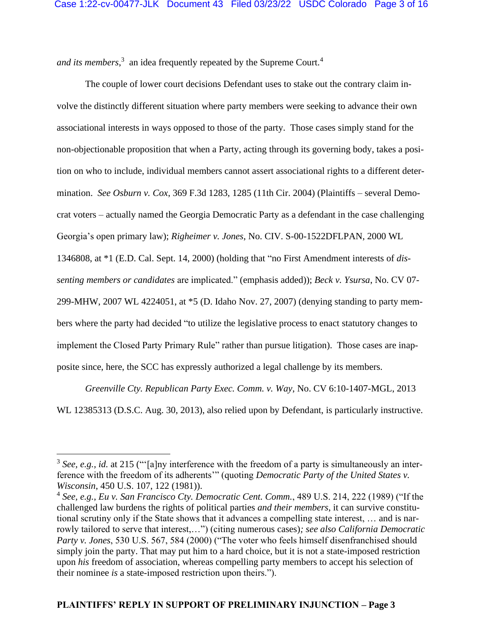and its members,<sup>3</sup> an idea frequently repeated by the Supreme Court.<sup>4</sup>

The couple of lower court decisions Defendant uses to stake out the contrary claim involve the distinctly different situation where party members were seeking to advance their own associational interests in ways opposed to those of the party. Those cases simply stand for the non-objectionable proposition that when a Party, acting through its governing body, takes a position on who to include, individual members cannot assert associational rights to a different determination. *See Osburn v. Cox*, 369 F.3d 1283, 1285 (11th Cir. 2004) (Plaintiffs – several Democrat voters – actually named the Georgia Democratic Party as a defendant in the case challenging Georgia's open primary law); *Righeimer v. Jones*, No. CIV. S-00-1522DFLPAN, 2000 WL 1346808, at \*1 (E.D. Cal. Sept. 14, 2000) (holding that "no First Amendment interests of *dissenting members or candidates* are implicated." (emphasis added)); *Beck v. Ysursa*, No. CV 07- 299-MHW, 2007 WL 4224051, at \*5 (D. Idaho Nov. 27, 2007) (denying standing to party members where the party had decided "to utilize the legislative process to enact statutory changes to implement the Closed Party Primary Rule" rather than pursue litigation). Those cases are inapposite since, here, the SCC has expressly authorized a legal challenge by its members.

*Greenville Cty. Republican Party Exec. Comm. v. Way*, No. CV 6:10-1407-MGL, 2013 WL 12385313 (D.S.C. Aug. 30, 2013), also relied upon by Defendant, is particularly instructive.

<sup>&</sup>lt;sup>3</sup> See, e.g., id. at 215 ("'[a]ny interference with the freedom of a party is simultaneously an interference with the freedom of its adherents'" (quoting *Democratic Party of the United States v. Wisconsin*, 450 U.S. 107, 122 (1981)).

<sup>4</sup> *See, e.g.*, *Eu v. San Francisco Cty. Democratic Cent. Comm.*, 489 U.S. 214, 222 (1989) ("If the challenged law burdens the rights of political parties *and their members*, it can survive constitutional scrutiny only if the State shows that it advances a compelling state interest, … and is narrowly tailored to serve that interest,…") (citing numerous cases)*; see also California Democratic Party v. Jones*, 530 U.S. 567, 584 (2000) ("The voter who feels himself disenfranchised should simply join the party. That may put him to a hard choice, but it is not a state-imposed restriction upon *his* freedom of association, whereas compelling party members to accept his selection of their nominee *is* a state-imposed restriction upon theirs.").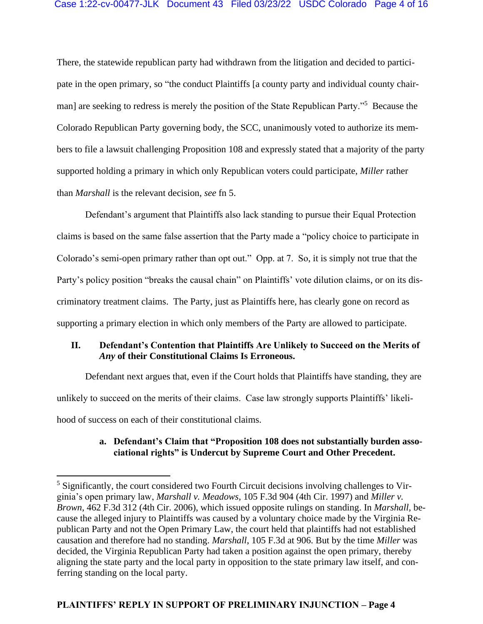### Case 1:22-cv-00477-JLK Document 43 Filed 03/23/22 USDC Colorado Page 4 of 16

There, the statewide republican party had withdrawn from the litigation and decided to participate in the open primary, so "the conduct Plaintiffs [a county party and individual county chairman] are seeking to redress is merely the position of the State Republican Party."<sup>5</sup> Because the Colorado Republican Party governing body, the SCC, unanimously voted to authorize its members to file a lawsuit challenging Proposition 108 and expressly stated that a majority of the party supported holding a primary in which only Republican voters could participate, *Miller* rather than *Marshall* is the relevant decision, *see* fn 5.

Defendant's argument that Plaintiffs also lack standing to pursue their Equal Protection claims is based on the same false assertion that the Party made a "policy choice to participate in Colorado's semi-open primary rather than opt out." Opp. at 7. So, it is simply not true that the Party's policy position "breaks the causal chain" on Plaintiffs' vote dilution claims, or on its discriminatory treatment claims. The Party, just as Plaintiffs here, has clearly gone on record as supporting a primary election in which only members of the Party are allowed to participate.

# **II. Defendant's Contention that Plaintiffs Are Unlikely to Succeed on the Merits of**  *Any* **of their Constitutional Claims Is Erroneous.**

Defendant next argues that, even if the Court holds that Plaintiffs have standing, they are unlikely to succeed on the merits of their claims. Case law strongly supports Plaintiffs' likelihood of success on each of their constitutional claims.

# **a. Defendant's Claim that "Proposition 108 does not substantially burden associational rights" is Undercut by Supreme Court and Other Precedent.**

<sup>&</sup>lt;sup>5</sup> Significantly, the court considered two Fourth Circuit decisions involving challenges to Virginia's open primary law, *Marshall v. Meadows*, 105 F.3d 904 (4th Cir. 1997) and *Miller v. Brown*, 462 F.3d 312 (4th Cir. 2006), which issued opposite rulings on standing. In *Marshall,* because the alleged injury to Plaintiffs was caused by a voluntary choice made by the Virginia Republican Party and not the Open Primary Law, the court held that plaintiffs had not established causation and therefore had no standing. *Marshall*, 105 F.3d at 906. But by the time *Miller* was decided, the Virginia Republican Party had taken a position against the open primary, thereby aligning the state party and the local party in opposition to the state primary law itself, and conferring standing on the local party.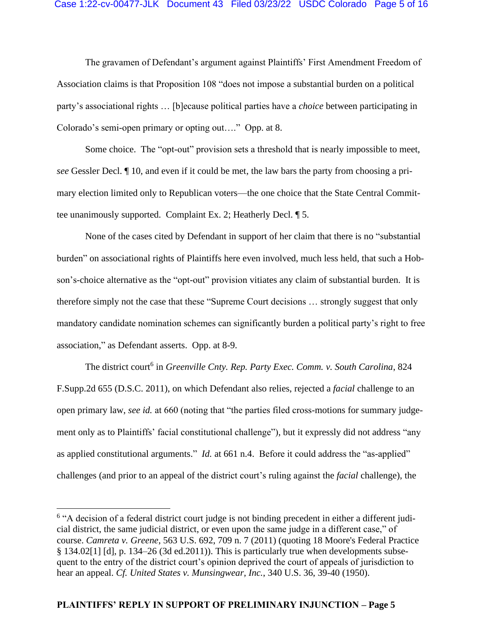### Case 1:22-cv-00477-JLK Document 43 Filed 03/23/22 USDC Colorado Page 5 of 16

The gravamen of Defendant's argument against Plaintiffs' First Amendment Freedom of Association claims is that Proposition 108 "does not impose a substantial burden on a political party's associational rights … [b]ecause political parties have a *choice* between participating in Colorado's semi-open primary or opting out…." Opp. at 8.

Some choice. The "opt-out" provision sets a threshold that is nearly impossible to meet, *see* Gessler Decl. ¶ 10, and even if it could be met, the law bars the party from choosing a primary election limited only to Republican voters—the one choice that the State Central Committee unanimously supported. Complaint Ex. 2; Heatherly Decl. ¶ 5.

None of the cases cited by Defendant in support of her claim that there is no "substantial burden" on associational rights of Plaintiffs here even involved, much less held, that such a Hobson's-choice alternative as the "opt-out" provision vitiates any claim of substantial burden. It is therefore simply not the case that these "Supreme Court decisions … strongly suggest that only mandatory candidate nomination schemes can significantly burden a political party's right to free association," as Defendant asserts. Opp. at 8-9.

The district court<sup>6</sup> in *Greenville Cnty. Rep. Party Exec. Comm. v. South Carolina*, 824 F.Supp.2d 655 (D.S.C. 2011), on which Defendant also relies, rejected a *facial* challenge to an open primary law, *see id.* at 660 (noting that "the parties filed cross-motions for summary judgement only as to Plaintiffs' facial constitutional challenge"), but it expressly did not address "any as applied constitutional arguments." *Id.* at 661 n.4. Before it could address the "as-applied" challenges (and prior to an appeal of the district court's ruling against the *facial* challenge), the

<sup>&</sup>lt;sup>6</sup> "A decision of a federal district court judge is not binding precedent in either a different judicial district, the same judicial district, or even upon the same judge in a different case," of course. *Camreta v. Greene*, 563 U.S. 692, 709 n. 7 (2011) (quoting 18 Moore's Federal Practice § 134.02[1] [d], p. 134–26 (3d ed.2011)). This is particularly true when developments subsequent to the entry of the district court's opinion deprived the court of appeals of jurisdiction to hear an appeal. *Cf. United States v. Munsingwear, Inc.*, 340 U.S. 36, 39-40 (1950).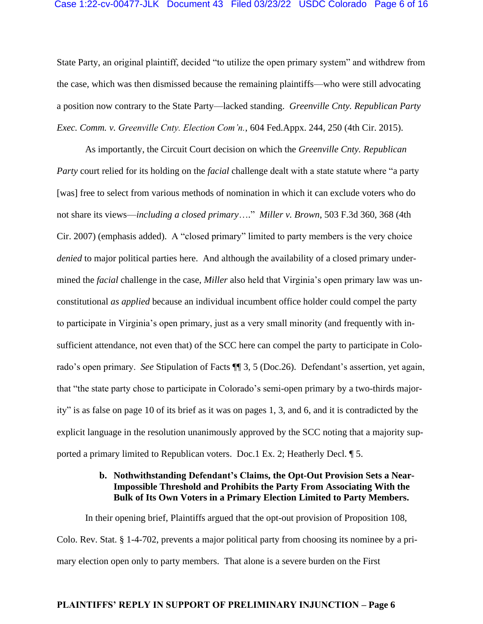### Case 1:22-cv-00477-JLK Document 43 Filed 03/23/22 USDC Colorado Page 6 of 16

State Party, an original plaintiff, decided "to utilize the open primary system" and withdrew from the case, which was then dismissed because the remaining plaintiffs—who were still advocating a position now contrary to the State Party—lacked standing. *Greenville Cnty. Republican Party Exec. Comm. v. Greenville Cnty. Election Com'n.*, 604 Fed.Appx. 244, 250 (4th Cir. 2015).

As importantly, the Circuit Court decision on which the *Greenville Cnty. Republican Party* court relied for its holding on the *facial* challenge dealt with a state statute where "a party [was] free to select from various methods of nomination in which it can exclude voters who do not share its views—*including a closed primary*…." *Miller v. Brown*, 503 F.3d 360, 368 (4th Cir. 2007) (emphasis added). A "closed primary" limited to party members is the very choice *denied* to major political parties here. And although the availability of a closed primary undermined the *facial* challenge in the case, *Miller* also held that Virginia's open primary law was unconstitutional *as applied* because an individual incumbent office holder could compel the party to participate in Virginia's open primary, just as a very small minority (and frequently with insufficient attendance, not even that) of the SCC here can compel the party to participate in Colorado's open primary. *See* Stipulation of Facts ¶¶ 3, 5 (Doc.26). Defendant's assertion, yet again, that "the state party chose to participate in Colorado's semi-open primary by a two-thirds majority" is as false on page 10 of its brief as it was on pages 1, 3, and 6, and it is contradicted by the explicit language in the resolution unanimously approved by the SCC noting that a majority supported a primary limited to Republican voters. Doc.1 Ex. 2; Heatherly Decl. ¶ 5.

## **b. Nothwithstanding Defendant's Claims, the Opt-Out Provision Sets a Near-Impossible Threshold and Prohibits the Party From Associating With the Bulk of Its Own Voters in a Primary Election Limited to Party Members.**

In their opening brief, Plaintiffs argued that the opt-out provision of Proposition 108, Colo. Rev. Stat. § 1-4-702, prevents a major political party from choosing its nominee by a primary election open only to party members. That alone is a severe burden on the First

### **PLAINTIFFS' REPLY IN SUPPORT OF PRELIMINARY INJUNCTION – Page 6**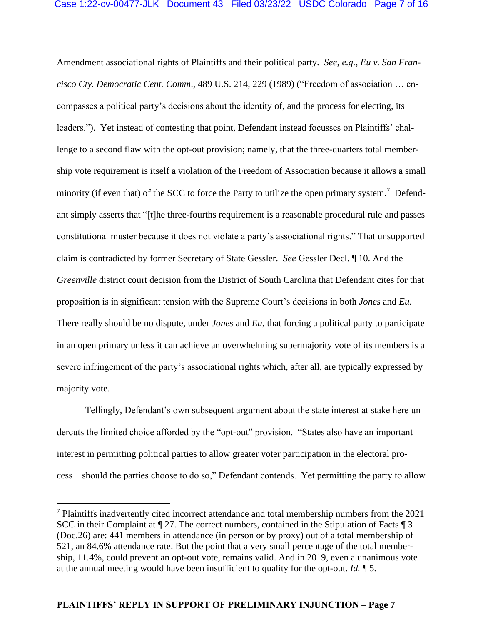Amendment associational rights of Plaintiffs and their political party. *See*, *e.g.*, *Eu v. San Francisco Cty. Democratic Cent. Comm*., 489 U.S. 214, 229 (1989) ("Freedom of association … encompasses a political party's decisions about the identity of, and the process for electing, its leaders."). Yet instead of contesting that point, Defendant instead focusses on Plaintiffs' challenge to a second flaw with the opt-out provision; namely, that the three-quarters total membership vote requirement is itself a violation of the Freedom of Association because it allows a small minority (if even that) of the SCC to force the Party to utilize the open primary system.<sup>7</sup> Defendant simply asserts that "[t]he three-fourths requirement is a reasonable procedural rule and passes constitutional muster because it does not violate a party's associational rights." That unsupported claim is contradicted by former Secretary of State Gessler. *See* Gessler Decl. ¶ 10. And the *Greenville* district court decision from the District of South Carolina that Defendant cites for that proposition is in significant tension with the Supreme Court's decisions in both *Jones* and *Eu*. There really should be no dispute, under *Jones* and *Eu*, that forcing a political party to participate in an open primary unless it can achieve an overwhelming supermajority vote of its members is a severe infringement of the party's associational rights which, after all, are typically expressed by majority vote.

Tellingly, Defendant's own subsequent argument about the state interest at stake here undercuts the limited choice afforded by the "opt-out" provision. "States also have an important interest in permitting political parties to allow greater voter participation in the electoral process—should the parties choose to do so," Defendant contends. Yet permitting the party to allow

<sup>7</sup> Plaintiffs inadvertently cited incorrect attendance and total membership numbers from the 2021 SCC in their Complaint at ¶ 27. The correct numbers, contained in the Stipulation of Facts ¶ 3 (Doc.26) are: 441 members in attendance (in person or by proxy) out of a total membership of 521, an 84.6% attendance rate. But the point that a very small percentage of the total membership, 11.4%, could prevent an opt-out vote, remains valid. And in 2019, even a unanimous vote at the annual meeting would have been insufficient to quality for the opt-out. *Id.* ¶ 5.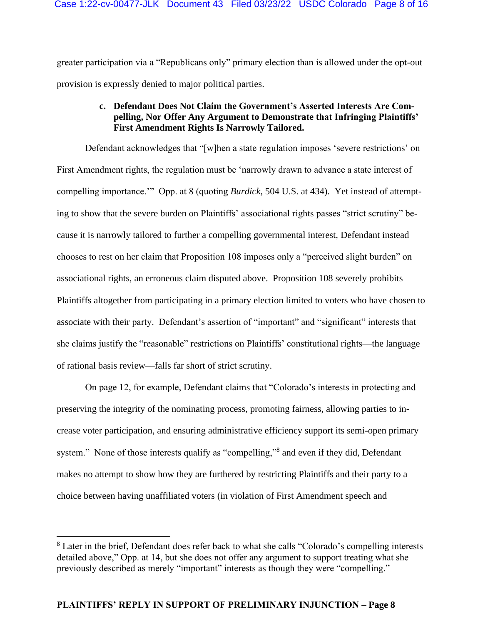greater participation via a "Republicans only" primary election than is allowed under the opt-out provision is expressly denied to major political parties.

## **c. Defendant Does Not Claim the Government's Asserted Interests Are Compelling, Nor Offer Any Argument to Demonstrate that Infringing Plaintiffs' First Amendment Rights Is Narrowly Tailored.**

Defendant acknowledges that "[w]hen a state regulation imposes 'severe restrictions' on First Amendment rights, the regulation must be 'narrowly drawn to advance a state interest of compelling importance.'" Opp. at 8 (quoting *Burdick*, 504 U.S. at 434). Yet instead of attempting to show that the severe burden on Plaintiffs' associational rights passes "strict scrutiny" because it is narrowly tailored to further a compelling governmental interest, Defendant instead chooses to rest on her claim that Proposition 108 imposes only a "perceived slight burden" on associational rights, an erroneous claim disputed above. Proposition 108 severely prohibits Plaintiffs altogether from participating in a primary election limited to voters who have chosen to associate with their party. Defendant's assertion of "important" and "significant" interests that she claims justify the "reasonable" restrictions on Plaintiffs' constitutional rights—the language of rational basis review—falls far short of strict scrutiny.

On page 12, for example, Defendant claims that "Colorado's interests in protecting and preserving the integrity of the nominating process, promoting fairness, allowing parties to increase voter participation, and ensuring administrative efficiency support its semi-open primary system." None of those interests qualify as "compelling,"<sup>8</sup> and even if they did, Defendant makes no attempt to show how they are furthered by restricting Plaintiffs and their party to a choice between having unaffiliated voters (in violation of First Amendment speech and

<sup>&</sup>lt;sup>8</sup> Later in the brief, Defendant does refer back to what she calls "Colorado's compelling interests detailed above," Opp. at 14, but she does not offer any argument to support treating what she previously described as merely "important" interests as though they were "compelling."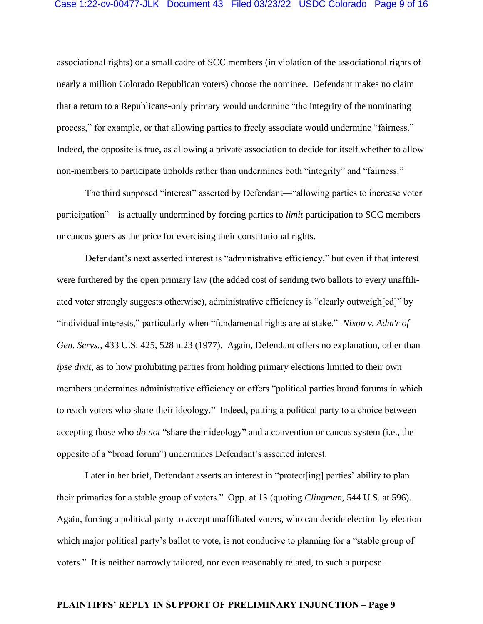### Case 1:22-cv-00477-JLK Document 43 Filed 03/23/22 USDC Colorado Page 9 of 16

associational rights) or a small cadre of SCC members (in violation of the associational rights of nearly a million Colorado Republican voters) choose the nominee. Defendant makes no claim that a return to a Republicans-only primary would undermine "the integrity of the nominating process," for example, or that allowing parties to freely associate would undermine "fairness." Indeed, the opposite is true, as allowing a private association to decide for itself whether to allow non-members to participate upholds rather than undermines both "integrity" and "fairness."

The third supposed "interest" asserted by Defendant—"allowing parties to increase voter participation"—is actually undermined by forcing parties to *limit* participation to SCC members or caucus goers as the price for exercising their constitutional rights.

Defendant's next asserted interest is "administrative efficiency," but even if that interest were furthered by the open primary law (the added cost of sending two ballots to every unaffiliated voter strongly suggests otherwise), administrative efficiency is "clearly outweigh[ed]" by "individual interests," particularly when "fundamental rights are at stake." *Nixon v. Adm'r of Gen. Servs.*, 433 U.S. 425, 528 n.23 (1977). Again, Defendant offers no explanation, other than *ipse dixit*, as to how prohibiting parties from holding primary elections limited to their own members undermines administrative efficiency or offers "political parties broad forums in which to reach voters who share their ideology." Indeed, putting a political party to a choice between accepting those who *do not* "share their ideology" and a convention or caucus system (i.e., the opposite of a "broad forum") undermines Defendant's asserted interest.

Later in her brief, Defendant asserts an interest in "protect[ing] parties' ability to plan their primaries for a stable group of voters." Opp. at 13 (quoting *Clingman*, 544 U.S. at 596). Again, forcing a political party to accept unaffiliated voters, who can decide election by election which major political party's ballot to vote, is not conducive to planning for a "stable group of voters." It is neither narrowly tailored, nor even reasonably related, to such a purpose.

# **PLAINTIFFS' REPLY IN SUPPORT OF PRELIMINARY INJUNCTION – Page 9**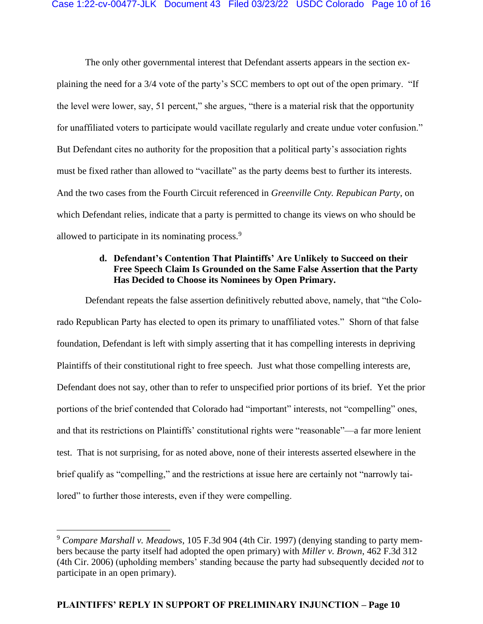The only other governmental interest that Defendant asserts appears in the section explaining the need for a 3/4 vote of the party's SCC members to opt out of the open primary. "If the level were lower, say, 51 percent," she argues, "there is a material risk that the opportunity for unaffiliated voters to participate would vacillate regularly and create undue voter confusion." But Defendant cites no authority for the proposition that a political party's association rights must be fixed rather than allowed to "vacillate" as the party deems best to further its interests. And the two cases from the Fourth Circuit referenced in *Greenville Cnty. Repubican Party*, on which Defendant relies, indicate that a party is permitted to change its views on who should be allowed to participate in its nominating process.<sup>9</sup>

# **d. Defendant's Contention That Plaintiffs' Are Unlikely to Succeed on their Free Speech Claim Is Grounded on the Same False Assertion that the Party Has Decided to Choose its Nominees by Open Primary.**

Defendant repeats the false assertion definitively rebutted above, namely, that "the Colorado Republican Party has elected to open its primary to unaffiliated votes." Shorn of that false foundation, Defendant is left with simply asserting that it has compelling interests in depriving Plaintiffs of their constitutional right to free speech. Just what those compelling interests are, Defendant does not say, other than to refer to unspecified prior portions of its brief. Yet the prior portions of the brief contended that Colorado had "important" interests, not "compelling" ones, and that its restrictions on Plaintiffs' constitutional rights were "reasonable"—a far more lenient test. That is not surprising, for as noted above, none of their interests asserted elsewhere in the brief qualify as "compelling," and the restrictions at issue here are certainly not "narrowly tailored" to further those interests, even if they were compelling.

<sup>9</sup> *Compare Marshall v. Meadows*, 105 F.3d 904 (4th Cir. 1997) (denying standing to party members because the party itself had adopted the open primary) with *Miller v. Brown*, 462 F.3d 312 (4th Cir. 2006) (upholding members' standing because the party had subsequently decided *not* to participate in an open primary).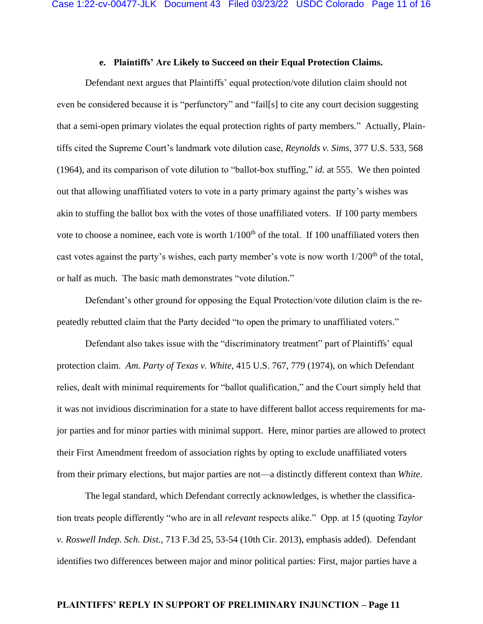### **e. Plaintiffs' Are Likely to Succeed on their Equal Protection Claims.**

Defendant next argues that Plaintiffs' equal protection/vote dilution claim should not even be considered because it is "perfunctory" and "fail[s] to cite any court decision suggesting that a semi-open primary violates the equal protection rights of party members." Actually, Plaintiffs cited the Supreme Court's landmark vote dilution case, *Reynolds v. Sims*, 377 U.S. 533, 568 (1964), and its comparison of vote dilution to "ballot-box stuffing," *id.* at 555. We then pointed out that allowing unaffiliated voters to vote in a party primary against the party's wishes was akin to stuffing the ballot box with the votes of those unaffiliated voters. If 100 party members vote to choose a nominee, each vote is worth  $1/100<sup>th</sup>$  of the total. If 100 unaffiliated voters then cast votes against the party's wishes, each party member's vote is now worth  $1/200<sup>th</sup>$  of the total, or half as much. The basic math demonstrates "vote dilution."

Defendant's other ground for opposing the Equal Protection/vote dilution claim is the repeatedly rebutted claim that the Party decided "to open the primary to unaffiliated voters."

Defendant also takes issue with the "discriminatory treatment" part of Plaintiffs' equal protection claim. *Am. Party of Texas v. White*, 415 U.S. 767, 779 (1974), on which Defendant relies, dealt with minimal requirements for "ballot qualification," and the Court simply held that it was not invidious discrimination for a state to have different ballot access requirements for major parties and for minor parties with minimal support. Here, minor parties are allowed to protect their First Amendment freedom of association rights by opting to exclude unaffiliated voters from their primary elections, but major parties are not—a distinctly different context than *White*.

The legal standard, which Defendant correctly acknowledges, is whether the classification treats people differently "who are in all *relevant* respects alike." Opp. at 15 (quoting *Taylor v. Roswell Indep. Sch. Dist.*, 713 F.3d 25, 53-54 (10th Cir. 2013), emphasis added). Defendant identifies two differences between major and minor political parties: First, major parties have a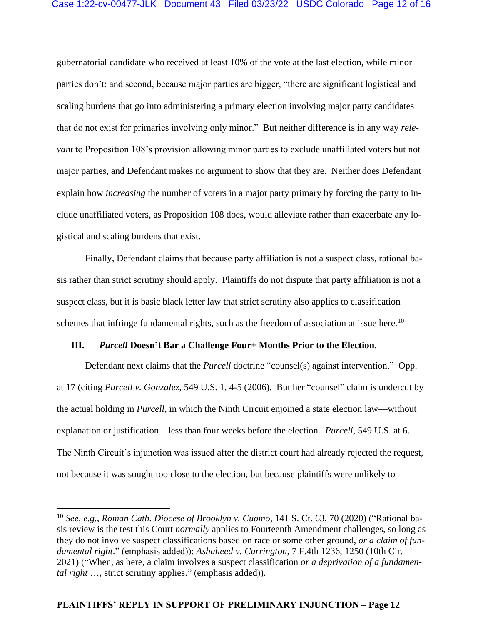### Case 1:22-cv-00477-JLK Document 43 Filed 03/23/22 USDC Colorado Page 12 of 16

gubernatorial candidate who received at least 10% of the vote at the last election, while minor parties don't; and second, because major parties are bigger, "there are significant logistical and scaling burdens that go into administering a primary election involving major party candidates that do not exist for primaries involving only minor." But neither difference is in any way *relevant* to Proposition 108's provision allowing minor parties to exclude unaffiliated voters but not major parties, and Defendant makes no argument to show that they are. Neither does Defendant explain how *increasing* the number of voters in a major party primary by forcing the party to include unaffiliated voters, as Proposition 108 does, would alleviate rather than exacerbate any logistical and scaling burdens that exist.

Finally, Defendant claims that because party affiliation is not a suspect class, rational basis rather than strict scrutiny should apply. Plaintiffs do not dispute that party affiliation is not a suspect class, but it is basic black letter law that strict scrutiny also applies to classification schemes that infringe fundamental rights, such as the freedom of association at issue here.<sup>10</sup>

#### **III.** *Purcell* **Doesn't Bar a Challenge Four+ Months Prior to the Election.**

Defendant next claims that the *Purcell* doctrine "counsel(s) against intervention." Opp. at 17 (citing *Purcell v. Gonzalez*, 549 U.S. 1, 4-5 (2006). But her "counsel" claim is undercut by the actual holding in *Purcell*, in which the Ninth Circuit enjoined a state election law—without explanation or justification—less than four weeks before the election. *Purcell*, 549 U.S. at 6. The Ninth Circuit's injunction was issued after the district court had already rejected the request, not because it was sought too close to the election, but because plaintiffs were unlikely to

<sup>10</sup> *See*, *e.g.*, *Roman Cath. Diocese of Brooklyn v. Cuomo*, 141 S. Ct. 63, 70 (2020) ("Rational basis review is the test this Court *normally* applies to Fourteenth Amendment challenges, so long as they do not involve suspect classifications based on race or some other ground, *or a claim of fundamental right*." (emphasis added)); *Ashaheed v. Currington*, 7 F.4th 1236, 1250 (10th Cir. 2021) ("When, as here, a claim involves a suspect classification *or a deprivation of a fundamental right* …, strict scrutiny applies." (emphasis added)).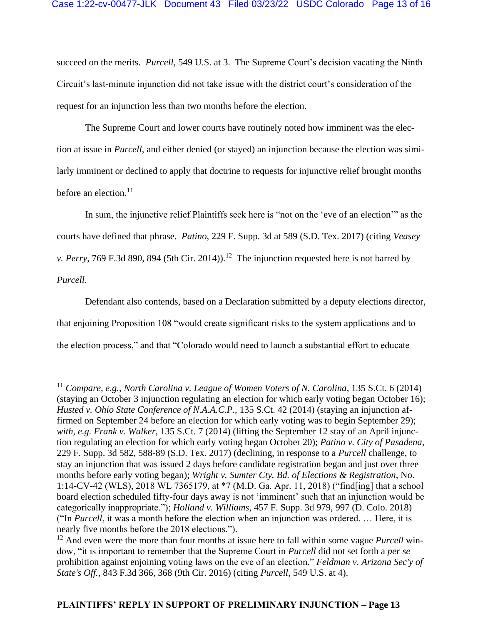succeed on the merits. *Purcell*, 549 U.S. at 3. The Supreme Court's decision vacating the Ninth Circuit's last-minute injunction did not take issue with the district court's consideration of the request for an injunction less than two months before the election.

The Supreme Court and lower courts have routinely noted how imminent was the election at issue in *Purcell*, and either denied (or stayed) an injunction because the election was similarly imminent or declined to apply that doctrine to requests for injunctive relief brought months before an election. 11

In sum, the injunctive relief Plaintiffs seek here is "not on the 'eve of an election'" as the courts have defined that phrase. *Patino*, 229 F. Supp. 3d at 589 (S.D. Tex. 2017) (citing *Veasey v. Perry*, 769 F.3d 890, 894 (5th Cir. 2014)).<sup>12</sup> The injunction requested here is not barred by *Purcell*.

Defendant also contends, based on a Declaration submitted by a deputy elections director, that enjoining Proposition 108 "would create significant risks to the system applications and to the election process," and that "Colorado would need to launch a substantial effort to educate

<sup>11</sup> *Compare, e.g.*, *North Carolina v. League of Women Voters of N. Carolina*, 135 S.Ct. 6 (2014) (staying an October 3 injunction regulating an election for which early voting began October 16); *Husted v. Ohio State Conference of N.A.A.C.P.*, 135 S.Ct. 42 (2014) (staying an injunction affirmed on September 24 before an election for which early voting was to begin September 29); *with, e.g. Frank v. Walker*, 135 S.Ct. 7 (2014) (lifting the September 12 stay of an April injunction regulating an election for which early voting began October 20); *Patino v. City of Pasadena*, 229 F. Supp. 3d 582, 588-89 (S.D. Tex. 2017) (declining, in response to a *Purcell* challenge, to stay an injunction that was issued 2 days before candidate registration began and just over three months before early voting began); *Wright v. Sumter Cty. Bd. of Elections & Registration*, No. 1:14-CV-42 (WLS), 2018 WL 7365179, at \*7 (M.D. Ga. Apr. 11, 2018) ("find[ing] that a school board election scheduled fifty-four days away is not 'imminent' such that an injunction would be categorically inappropriate."); *Holland v. Williams*, 457 F. Supp. 3d 979, 997 (D. Colo. 2018) ("In *Purcell*, it was a month before the election when an injunction was ordered. … Here, it is nearly five months before the 2018 elections.").

<sup>12</sup> And even were the more than four months at issue here to fall within some vague *Purcell* window, "it is important to remember that the Supreme Court in *Purcell* did not set forth a *per se* prohibition against enjoining voting laws on the eve of an election." *Feldman v. Arizona Sec'y of State's Off.*, 843 F.3d 366, 368 (9th Cir. 2016) (citing *Purcell*, 549 U.S. at 4).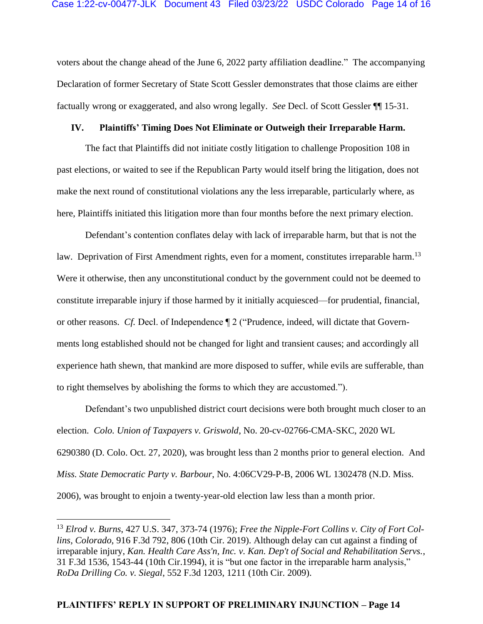voters about the change ahead of the June 6, 2022 party affiliation deadline." The accompanying Declaration of former Secretary of State Scott Gessler demonstrates that those claims are either factually wrong or exaggerated, and also wrong legally. *See* Decl. of Scott Gessler ¶¶ 15-31.

## **IV. Plaintiffs' Timing Does Not Eliminate or Outweigh their Irreparable Harm.**

The fact that Plaintiffs did not initiate costly litigation to challenge Proposition 108 in past elections, or waited to see if the Republican Party would itself bring the litigation, does not make the next round of constitutional violations any the less irreparable, particularly where, as here, Plaintiffs initiated this litigation more than four months before the next primary election.

Defendant's contention conflates delay with lack of irreparable harm, but that is not the law. Deprivation of First Amendment rights, even for a moment, constitutes irreparable harm.<sup>13</sup> Were it otherwise, then any unconstitutional conduct by the government could not be deemed to constitute irreparable injury if those harmed by it initially acquiesced—for prudential, financial, or other reasons. *Cf.* Decl. of Independence ¶ 2 ("Prudence, indeed, will dictate that Governments long established should not be changed for light and transient causes; and accordingly all experience hath shewn, that mankind are more disposed to suffer, while evils are sufferable, than to right themselves by abolishing the forms to which they are accustomed.").

Defendant's two unpublished district court decisions were both brought much closer to an election. *Colo. Union of Taxpayers v. Griswold*, No. 20-cv-02766-CMA-SKC, 2020 WL 6290380 (D. Colo. Oct. 27, 2020), was brought less than 2 months prior to general election. And *Miss. State Democratic Party v. Barbour*, No. 4:06CV29-P-B, 2006 WL 1302478 (N.D. Miss. 2006), was brought to enjoin a twenty-year-old election law less than a month prior.

<sup>13</sup> *Elrod v. Burns*, 427 U.S. 347, 373-74 (1976); *Free the Nipple-Fort Collins v. City of Fort Collins, Colorado*, 916 F.3d 792, 806 (10th Cir. 2019). Although delay can cut against a finding of irreparable injury, *Kan. Health Care Ass'n, Inc. v. Kan. Dep't of Social and Rehabilitation Servs.*, 31 F.3d 1536, 1543-44 (10th Cir.1994), it is "but one factor in the irreparable harm analysis," *RoDa Drilling Co. v. Siegal*, 552 F.3d 1203, 1211 (10th Cir. 2009).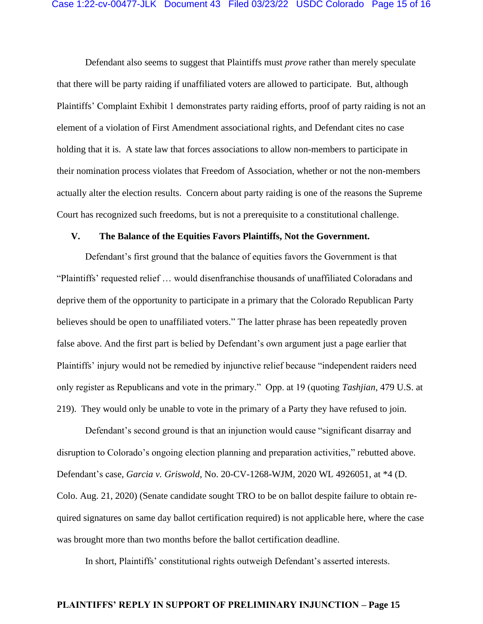Defendant also seems to suggest that Plaintiffs must *prove* rather than merely speculate that there will be party raiding if unaffiliated voters are allowed to participate. But, although Plaintiffs' Complaint Exhibit 1 demonstrates party raiding efforts, proof of party raiding is not an element of a violation of First Amendment associational rights, and Defendant cites no case holding that it is. A state law that forces associations to allow non-members to participate in their nomination process violates that Freedom of Association, whether or not the non-members actually alter the election results. Concern about party raiding is one of the reasons the Supreme Court has recognized such freedoms, but is not a prerequisite to a constitutional challenge.

### **V. The Balance of the Equities Favors Plaintiffs, Not the Government.**

Defendant's first ground that the balance of equities favors the Government is that "Plaintiffs' requested relief … would disenfranchise thousands of unaffiliated Coloradans and deprive them of the opportunity to participate in a primary that the Colorado Republican Party believes should be open to unaffiliated voters." The latter phrase has been repeatedly proven false above. And the first part is belied by Defendant's own argument just a page earlier that Plaintiffs' injury would not be remedied by injunctive relief because "independent raiders need only register as Republicans and vote in the primary." Opp. at 19 (quoting *Tashjian*, 479 U.S. at 219). They would only be unable to vote in the primary of a Party they have refused to join.

Defendant's second ground is that an injunction would cause "significant disarray and disruption to Colorado's ongoing election planning and preparation activities," rebutted above. Defendant's case, *Garcia v. Griswold*, No. 20-CV-1268-WJM, 2020 WL 4926051, at \*4 (D. Colo. Aug. 21, 2020) (Senate candidate sought TRO to be on ballot despite failure to obtain required signatures on same day ballot certification required) is not applicable here, where the case was brought more than two months before the ballot certification deadline.

In short, Plaintiffs' constitutional rights outweigh Defendant's asserted interests.